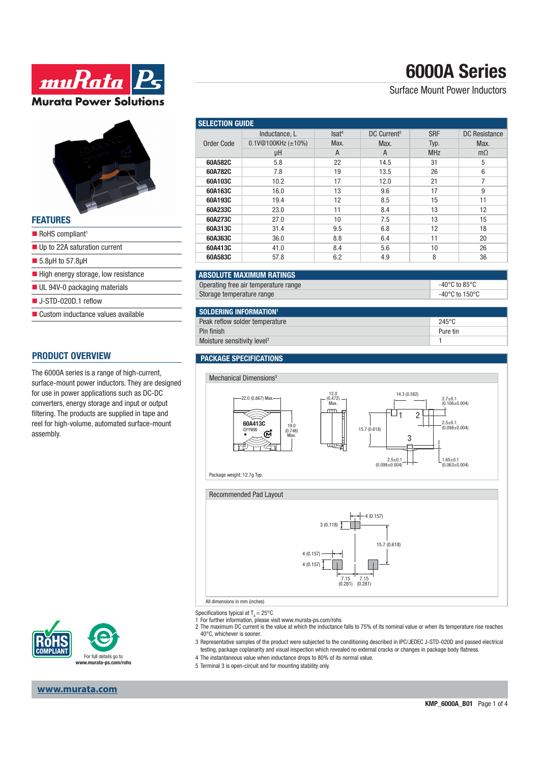# **6000A Series**

### Surface Mount Power Inductors

| <b>FEATURES</b>                                    |
|----------------------------------------------------|
| $\blacksquare$ RoHS compliant <sup>1</sup>         |
| $\blacksquare$ Up to 22A saturation current        |
| $\blacksquare$ 5.8µH to 57.8µH                     |
| $\blacksquare$ High energy storage, low resistance |
| UL 94V-0 packaging materials                       |
| $\blacksquare$ J-STD-020D.1 reflow                 |
| ■ Custom inductance values available               |

**ww.Rata** P.

**Murata Power Solutions** 

#### **PRODUCT OVERVIEW**

The 6000A series is a range of high-current, surface-mount power inductors. They are designed for use in power applications such as DC-DC converters, energy storage and input or output filtering. The products are supplied in tape and reel for high-volume, automated surface-mount assembly.



| <b>Lection Guide</b> |                             |                   |                         |            |                      |  |
|----------------------|-----------------------------|-------------------|-------------------------|------------|----------------------|--|
| rder Code            | Inductance, L               | Isat <sup>4</sup> | DC Current <sup>2</sup> | <b>SRF</b> | <b>DC</b> Resistance |  |
|                      | $0.1$ V@100KHz ( $\pm$ 10%) | Max.              | Max.                    | Typ.       | Max.                 |  |
|                      | μH                          | A                 | A                       | <b>MHz</b> | $m\Omega$            |  |
| 60A582C              | 5.8                         | 22                | 14.5                    | 31         | 5                    |  |
| 60A782C              | 7.8                         | 19                | 13.5                    | 26         | 6                    |  |
| 60A103C              | 10.2                        | 17                | 12.0                    | 21         |                      |  |
| 60A163C              | 16.0                        | 13                | 9.6                     | 17         | 9                    |  |

| <b>SOLDERING INFORMATION</b> 1          |                  |  |  |  |
|-----------------------------------------|------------------|--|--|--|
| Peak reflow solder temperature          | 245 $^{\circ}$ C |  |  |  |
| Pin finish                              | Pure tin         |  |  |  |
| Moisture sensitivity level <sup>3</sup> |                  |  |  |  |

Operating free air temperature range  $\sim$  40°C to 85°C Storage temperature range  $-40^{\circ}$ C to  $150^{\circ}$ C

**60A193C** 19.4 12 8.5 15 11 **60A233C** 23.0 11 8.4 13 12 **60A273C** 27.0 10 7.5 13 15 **60A313C** 31.4 9.5 6.8 12 18 **60A363C** 36.0 8.8 6.4 11 20 **60A413C** 41.0 8.4 5.6 10 26 **60A583C** | 57.8 | 6.2 | 4.9 | 8 | 36

#### **PACKAGE SPECIFICATIONS**

**ABSOLUTE MAXIMUM RATINGS**

**SELECTION GUIDE** 

Order Code



Specifications typical at  $T_a = 25^{\circ}$ C

- 1 For further information, please visit www.murata-ps.com/rohs
- 2 The maximum DC current is the value at which the inductance falls to 75% of its nominal value or when its temperature rise reaches 40°C, whichever is sooner.
- 3 Representative samples of the product were subjected to the conditioning described in IPC/JEDEC J-STD-020D and passed electrical testing, package coplanarity and visual inspection which revealed no external cracks or changes in package body flatness.
- 4 The instantaneous value when inductance drops to 80% of its normal value.
- 5 Terminal 3 is open-circuit and for mounting stability only.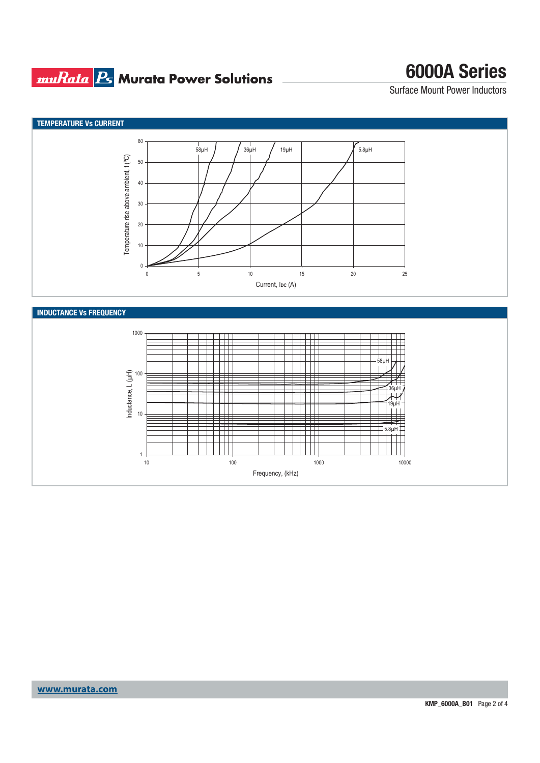## **muRata Bs** Murata Power Solutions

# **6000A Series**

Surface Mount Power Inductors

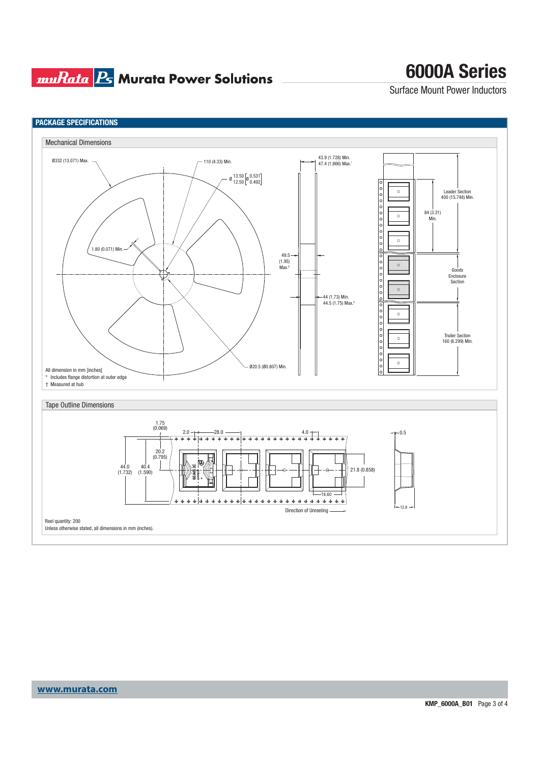### **muRata Ps** Murata Power Solutions

# **6000A Series**

Surface Mount Power Inductors